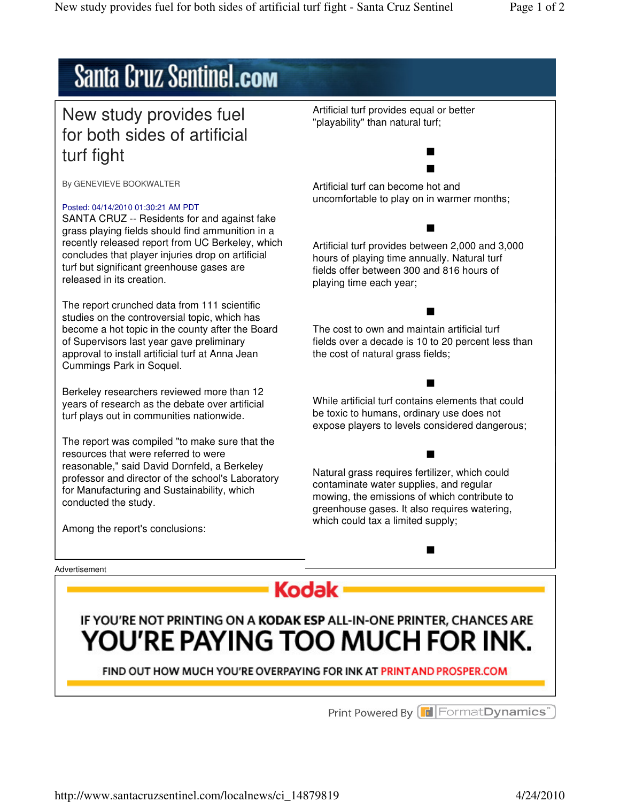# **Santa Cruz Sentinel.com**

### New study provides fuel for both sides of artificial turf fight

By GENEVIEVE BOOKWALTER

### Posted: 04/14/2010 01:30:21 AM PDT

SANTA CRUZ -- Residents for and against fake grass playing fields should find ammunition in a recently released report from UC Berkeley, which concludes that player injuries drop on artificial turf but significant greenhouse gases are released in its creation.

The report crunched data from 111 scientific studies on the controversial topic, which has become a hot topic in the county after the Board of Supervisors last year gave preliminary approval to install artificial turf at Anna Jean Cummings Park in Soquel.

Berkeley researchers reviewed more than 12 years of research as the debate over artificial turf plays out in communities nationwide.

The report was compiled "to make sure that the resources that were referred to were reasonable," said David Dornfeld, a Berkeley professor and director of the school's Laboratory for Manufacturing and Sustainability, which conducted the study.

Among the report's conclusions:

Advertisement



## IF YOU'RE NOT PRINTING ON A KODAK ESP ALL-IN-ONE PRINTER, CHANCES ARE YOU'RE PAYING TOO MUCH FOR INK.

FIND OUT HOW MUCH YOU'RE OVERPAYING FOR INK AT PRINT AND PROSPER.COM

Print Powered By **F** Format Dynamics<sup>®</sup>

Artificial turf provides equal or better "playability" than natural turf;

Artificial turf can become hot and uncomfortable to play on in warmer months;

Artificial turf provides between 2,000 and 3,000 hours of playing time annually. Natural turf fields offer between 300 and 816 hours of playing time each year;

The cost to own and maintain artificial turf fields over a decade is 10 to 20 percent less than the cost of natural grass fields;

While artificial turf contains elements that could be toxic to humans, ordinary use does not expose players to levels considered dangerous;

Natural grass requires fertilizer, which could contaminate water supplies, and regular mowing, the emissions of which contribute to greenhouse gases. It also requires watering, which could tax a limited supply;